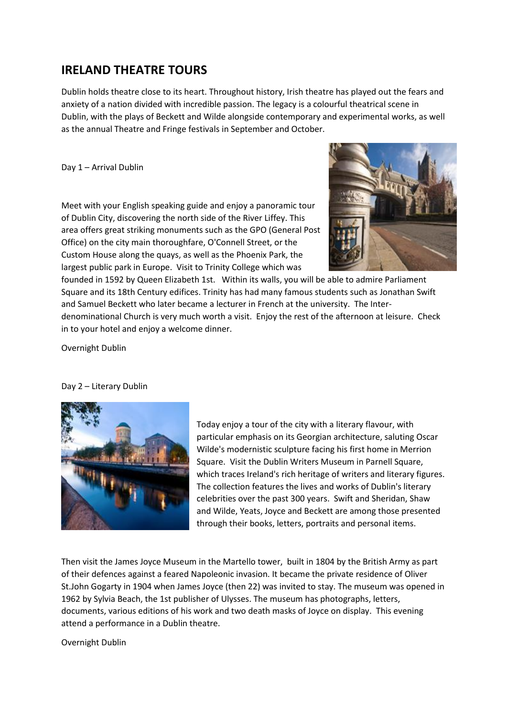## **IRELAND THEATRE TOURS**

Dublin holds theatre close to its heart. Throughout history, Irish theatre has played out the fears and anxiety of a nation divided with incredible passion. The legacy is a colourful theatrical scene in Dublin, with the plays of Beckett and Wilde alongside contemporary and experimental works, as well as the annual Theatre and Fringe festivals in September and October.

Day 1 – Arrival Dublin

Meet with your English speaking guide and enjoy a panoramic tour of Dublin City, discovering the north side of the River Liffey. This area offers great striking monuments such as the GPO (General Post Office) on the city main thoroughfare, O'Connell Street, or the Custom House along the quays, as well as the Phoenix Park, the largest public park in Europe. Visit to Trinity College which was



founded in 1592 by Queen Elizabeth 1st. Within its walls, you will be able to admire Parliament Square and its 18th Century edifices. Trinity has had many famous students such as Jonathan Swift and Samuel Beckett who later became a lecturer in French at the university. The Interdenominational Church is very much worth a visit. Enjoy the rest of the afternoon at leisure. Check in to your hotel and enjoy a welcome dinner.

Overnight Dublin

## Day 2 – Literary Dublin



Today enjoy a tour of the city with a literary flavour, with particular emphasis on its Georgian architecture, saluting Oscar Wilde's modernistic sculpture facing his first home in Merrion Square. Visit the Dublin Writers Museum in Parnell Square, which traces Ireland's rich heritage of writers and literary figures. The collection features the lives and works of Dublin's literary celebrities over the past 300 years. Swift and Sheridan, Shaw and Wilde, Yeats, Joyce and Beckett are among those presented through their books, letters, portraits and personal items.

Then visit the James Joyce Museum in the Martello tower, built in 1804 by the British Army as part of their defences against a feared Napoleonic invasion. It became the private residence of Oliver St.John Gogarty in 1904 when James Joyce (then 22) was invited to stay. The museum was opened in 1962 by Sylvia Beach, the 1st publisher of Ulysses. The museum has photographs, letters, documents, various editions of his work and two death masks of Joyce on display. This evening attend a performance in a Dublin theatre.

Overnight Dublin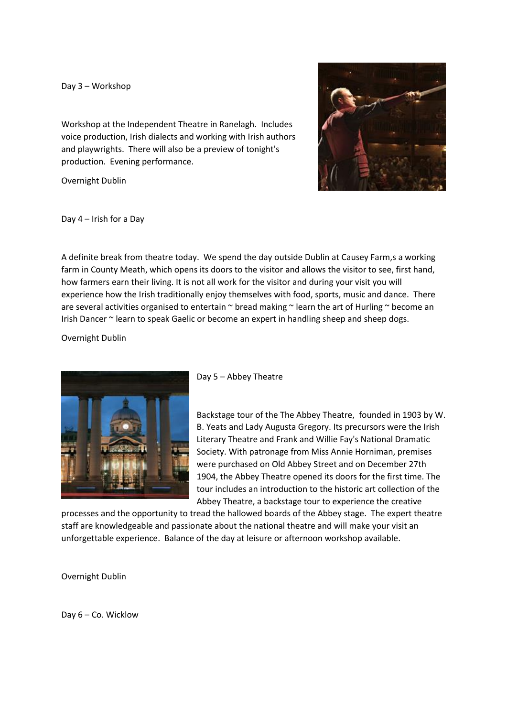## Day 3 – Workshop

Workshop at the Independent Theatre in Ranelagh. Includes voice production, Irish dialects and working with Irish authors and playwrights. There will also be a preview of tonight's production. Evening performance.

Overnight Dublin



Day 4 – Irish for a Day

A definite break from theatre today. We spend the day outside Dublin at Causey Farm,s a working farm in County Meath, which opens its doors to the visitor and allows the visitor to see, first hand, how farmers earn their living. It is not all work for the visitor and during your visit you will experience how the Irish traditionally enjoy themselves with food, sports, music and dance. There are several activities organised to entertain  $\sim$  bread making  $\sim$  learn the art of Hurling  $\sim$  become an Irish Dancer ~ learn to speak Gaelic or become an expert in handling sheep and sheep dogs.

Overnight Dublin



Day 5 – Abbey Theatre

Backstage tour of the The Abbey Theatre, founded in 1903 by W. B. Yeats and Lady Augusta Gregory. Its precursors were the Irish Literary Theatre and Frank and Willie Fay's National Dramatic Society. With patronage from Miss Annie Horniman, premises were purchased on Old Abbey Street and on December 27th 1904, the Abbey Theatre opened its doors for the first time. The tour includes an introduction to the historic art collection of the Abbey Theatre, a backstage tour to experience the creative

processes and the opportunity to tread the hallowed boards of the Abbey stage. The expert theatre staff are knowledgeable and passionate about the national theatre and will make your visit an unforgettable experience. Balance of the day at leisure or afternoon workshop available.

Overnight Dublin

Day 6 – Co. Wicklow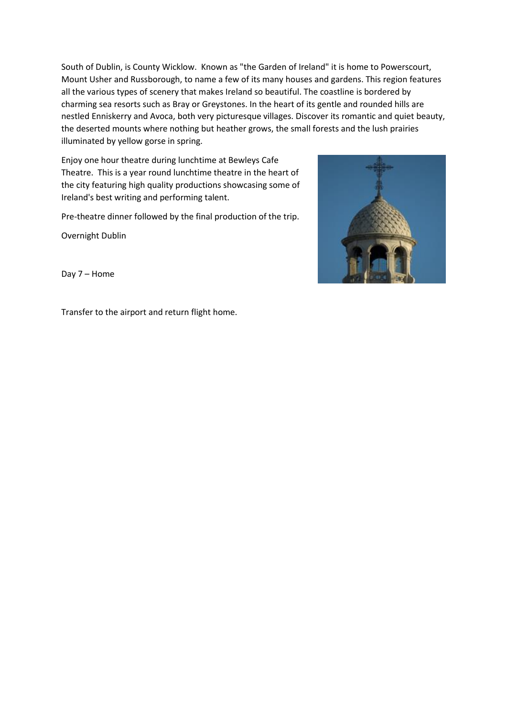South of Dublin, is County Wicklow. Known as "the Garden of Ireland" it is home to Powerscourt, Mount Usher and Russborough, to name a few of its many houses and gardens. This region features all the various types of scenery that makes Ireland so beautiful. The coastline is bordered by charming sea resorts such as Bray or Greystones. In the heart of its gentle and rounded hills are nestled Enniskerry and Avoca, both very picturesque villages. Discover its romantic and quiet beauty, the deserted mounts where nothing but heather grows, the small forests and the lush prairies illuminated by yellow gorse in spring.

Enjoy one hour theatre during lunchtime at Bewleys Cafe Theatre. This is a year round lunchtime theatre in the heart of the city featuring high quality productions showcasing some of Ireland's best writing and performing talent.

Pre-theatre dinner followed by the final production of the trip.

Overnight Dublin



Day 7 – Home

Transfer to the airport and return flight home.